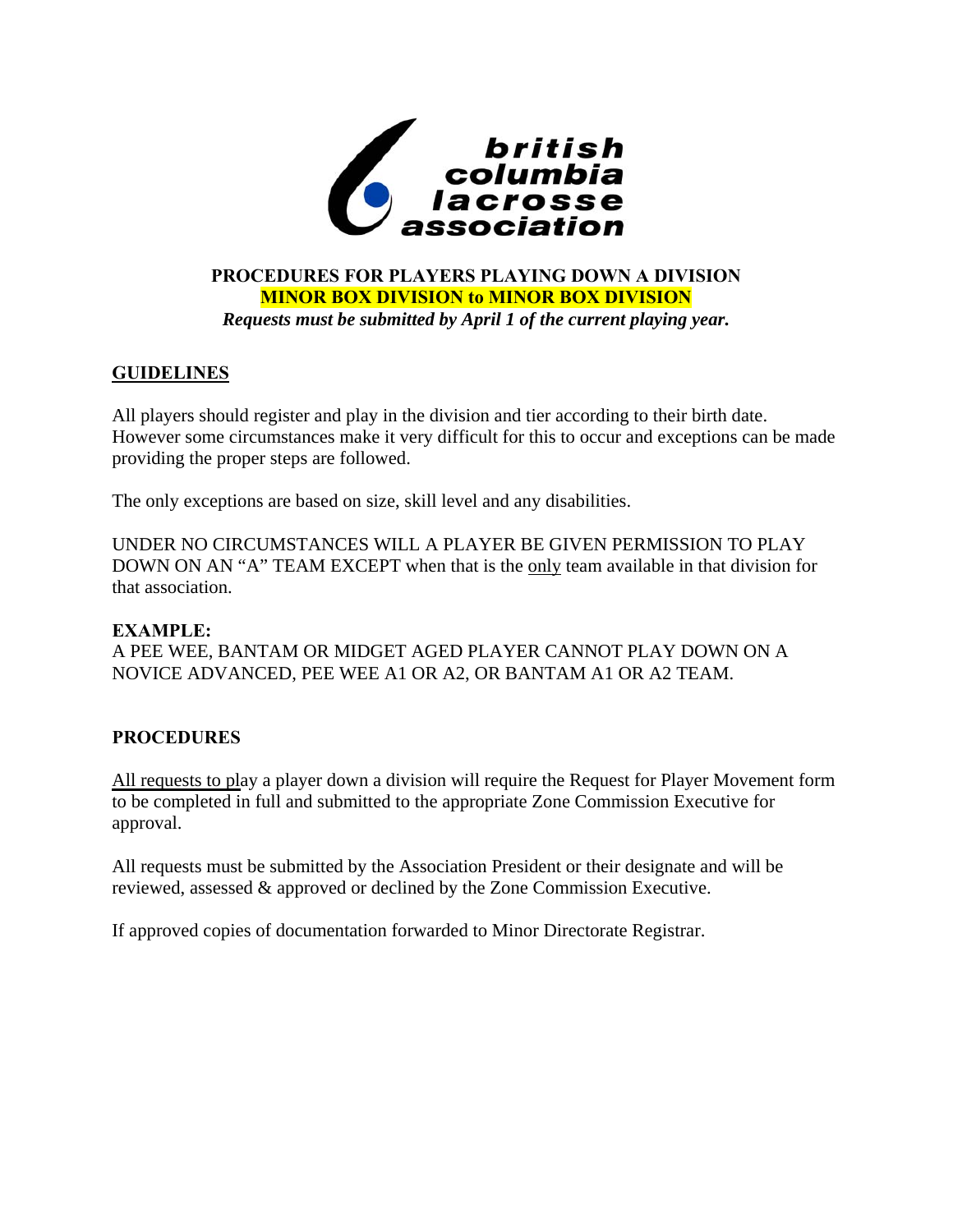

# **PROCEDURES FOR PLAYERS PLAYING DOWN A DIVISION MINOR BOX DIVISION to MINOR BOX DIVISION**  *Requests must be submitted by April 1 of the current playing year.*

# **GUIDELINES**

All players should register and play in the division and tier according to their birth date. However some circumstances make it very difficult for this to occur and exceptions can be made providing the proper steps are followed.

The only exceptions are based on size, skill level and any disabilities.

UNDER NO CIRCUMSTANCES WILL A PLAYER BE GIVEN PERMISSION TO PLAY DOWN ON AN "A" TEAM EXCEPT when that is the only team available in that division for that association.

#### **EXAMPLE:**

A PEE WEE, BANTAM OR MIDGET AGED PLAYER CANNOT PLAY DOWN ON A NOVICE ADVANCED, PEE WEE A1 OR A2, OR BANTAM A1 OR A2 TEAM.

# **PROCEDURES**

All requests to play a player down a division will require the Request for Player Movement form to be completed in full and submitted to the appropriate Zone Commission Executive for approval.

All requests must be submitted by the Association President or their designate and will be reviewed, assessed & approved or declined by the Zone Commission Executive.

If approved copies of documentation forwarded to Minor Directorate Registrar.